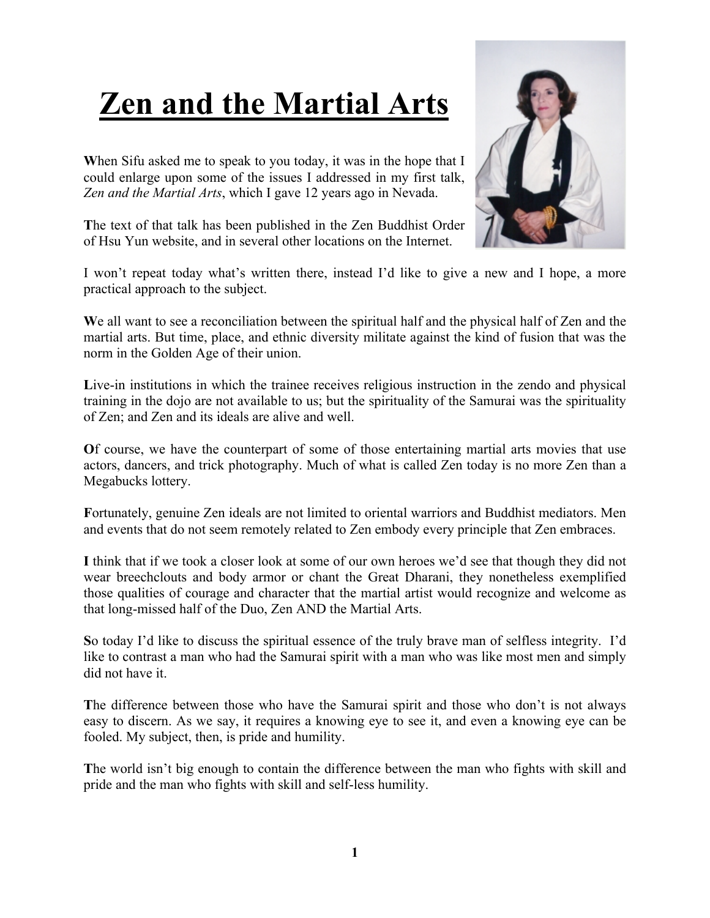## **Zen and the Martial Arts**

**W**hen Sifu asked me to speak to you today, it was in the hope that I could enlarge upon some of the issues I addressed in my first talk, *Zen and the Martial Arts*, which I gave 12 years ago in Nevada.

**T**he text of that talk has been published in the Zen Buddhist Order of Hsu Yun website, and in several other locations on the Internet.

I won't repeat today what's written there, instead I'd like to give a new and I hope, a more practical approach to the subject.

We all want to see a reconciliation between the spiritual half and the physical half of Zen and the martial arts. But time, place, and ethnic diversity militate against the kind of fusion that was the norm in the Golden Age of their union.

Live-in institutions in which the trainee receives religious instruction in the zendo and physical training in the dojo are not available to us; but the spirituality of the Samurai was the spirituality of Zen; and Zen and its ideals are alive and well.

**O**f course, we have the counterpart of some of those entertaining martial arts movies that use actors, dancers, and trick photography. Much of what is called Zen today is no more Zen than a Megabucks lottery.

**F**ortunately, genuine Zen ideals are not limited to oriental warriors and Buddhist mediators. Men and events that do not seem remotely related to Zen embody every principle that Zen embraces.

**I** think that if we took a closer look at some of our own heroes we'd see that though they did not wear breechclouts and body armor or chant the Great Dharani, they nonetheless exemplified those qualities of courage and character that the martial artist would recognize and welcome as that long-missed half of the Duo, Zen AND the Martial Arts.

**S**o today I'd like to discuss the spiritual essence of the truly brave man of selfless integrity. I'd like to contrast a man who had the Samurai spirit with a man who was like most men and simply did not have it.

**T**he difference between those who have the Samurai spirit and those who don't is not always easy to discern. As we say, it requires a knowing eye to see it, and even a knowing eye can be fooled. My subject, then, is pride and humility.

**T**he world isn't big enough to contain the difference between the man who fights with skill and pride and the man who fights with skill and self-less humility.

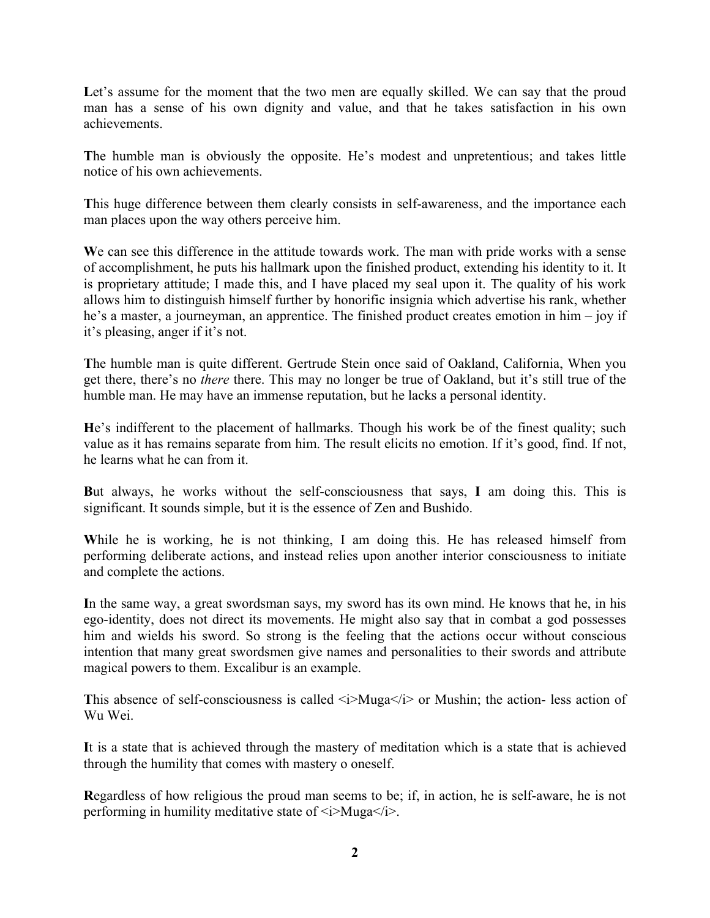Let's assume for the moment that the two men are equally skilled. We can say that the proud man has a sense of his own dignity and value, and that he takes satisfaction in his own achievements.

**T**he humble man is obviously the opposite. He's modest and unpretentious; and takes little notice of his own achievements.

**T**his huge difference between them clearly consists in self-awareness, and the importance each man places upon the way others perceive him.

**W**e can see this difference in the attitude towards work. The man with pride works with a sense of accomplishment, he puts his hallmark upon the finished product, extending his identity to it. It is proprietary attitude; I made this, and I have placed my seal upon it. The quality of his work allows him to distinguish himself further by honorific insignia which advertise his rank, whether he's a master, a journeyman, an apprentice. The finished product creates emotion in him – joy if it's pleasing, anger if it's not.

**T**he humble man is quite different. Gertrude Stein once said of Oakland, California, When you get there, there's no *there* there. This may no longer be true of Oakland, but it's still true of the humble man. He may have an immense reputation, but he lacks a personal identity.

**H**e's indifferent to the placement of hallmarks. Though his work be of the finest quality; such value as it has remains separate from him. The result elicits no emotion. If it's good, find. If not, he learns what he can from it.

**B**ut always, he works without the self-consciousness that says, **I** am doing this. This is significant. It sounds simple, but it is the essence of Zen and Bushido.

**W**hile he is working, he is not thinking, I am doing this. He has released himself from performing deliberate actions, and instead relies upon another interior consciousness to initiate and complete the actions.

**I**n the same way, a great swordsman says, my sword has its own mind. He knows that he, in his ego-identity, does not direct its movements. He might also say that in combat a god possesses him and wields his sword. So strong is the feeling that the actions occur without conscious intention that many great swordsmen give names and personalities to their swords and attribute magical powers to them. Excalibur is an example.

This absence of self-consciousness is called  $\langle i \rangle$ Muga $\langle i \rangle$  or Mushin; the action- less action of Wu Wei.

**I**t is a state that is achieved through the mastery of meditation which is a state that is achieved through the humility that comes with mastery o oneself.

**R**egardless of how religious the proud man seems to be; if, in action, he is self-aware, he is not performing in humility meditative state of  $\langle i \rangle$ Muga $\langle i \rangle$ .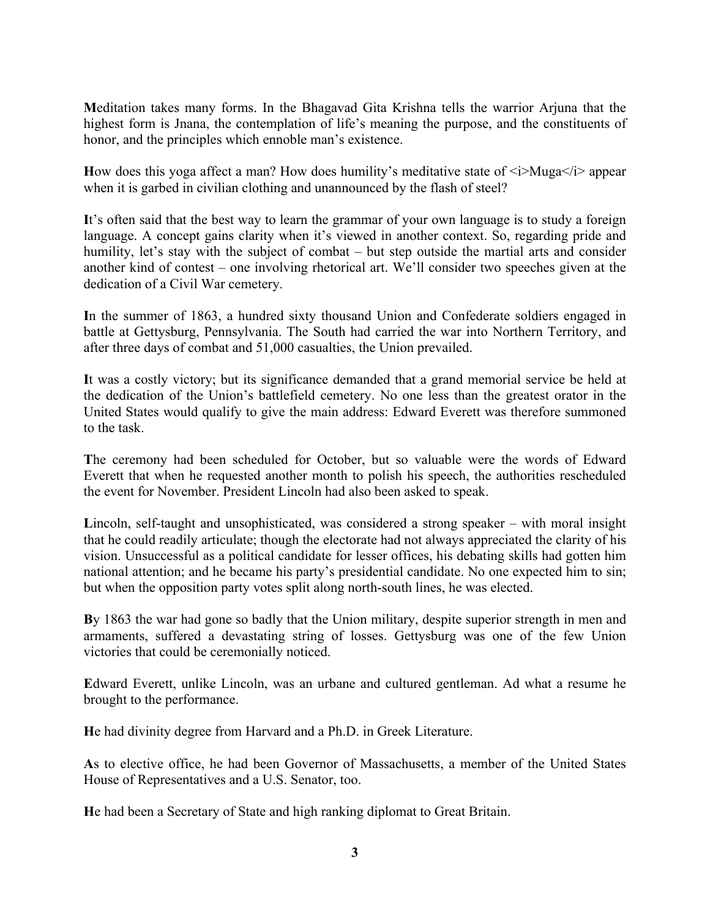**M**editation takes many forms. In the Bhagavad Gita Krishna tells the warrior Arjuna that the highest form is Jnana, the contemplation of life's meaning the purpose, and the constituents of honor, and the principles which ennoble man's existence.

How does this yoga affect a man? How does humility's meditative state of  $\langle i \rangle$ Muga $\langle i \rangle$  appear when it is garbed in civilian clothing and unannounced by the flash of steel?

**I**t's often said that the best way to learn the grammar of your own language is to study a foreign language. A concept gains clarity when it's viewed in another context. So, regarding pride and humility, let's stay with the subject of combat – but step outside the martial arts and consider another kind of contest – one involving rhetorical art. We'll consider two speeches given at the dedication of a Civil War cemetery.

**I**n the summer of 1863, a hundred sixty thousand Union and Confederate soldiers engaged in battle at Gettysburg, Pennsylvania. The South had carried the war into Northern Territory, and after three days of combat and 51,000 casualties, the Union prevailed.

**I**t was a costly victory; but its significance demanded that a grand memorial service be held at the dedication of the Union's battlefield cemetery. No one less than the greatest orator in the United States would qualify to give the main address: Edward Everett was therefore summoned to the task.

**T**he ceremony had been scheduled for October, but so valuable were the words of Edward Everett that when he requested another month to polish his speech, the authorities rescheduled the event for November. President Lincoln had also been asked to speak.

**L**incoln, self-taught and unsophisticated, was considered a strong speaker – with moral insight that he could readily articulate; though the electorate had not always appreciated the clarity of his vision. Unsuccessful as a political candidate for lesser offices, his debating skills had gotten him national attention; and he became his party's presidential candidate. No one expected him to sin; but when the opposition party votes split along north-south lines, he was elected.

**B**y 1863 the war had gone so badly that the Union military, despite superior strength in men and armaments, suffered a devastating string of losses. Gettysburg was one of the few Union victories that could be ceremonially noticed.

**E**dward Everett, unlike Lincoln, was an urbane and cultured gentleman. Ad what a resume he brought to the performance.

**H**e had divinity degree from Harvard and a Ph.D. in Greek Literature.

**A**s to elective office, he had been Governor of Massachusetts, a member of the United States House of Representatives and a U.S. Senator, too.

**H**e had been a Secretary of State and high ranking diplomat to Great Britain.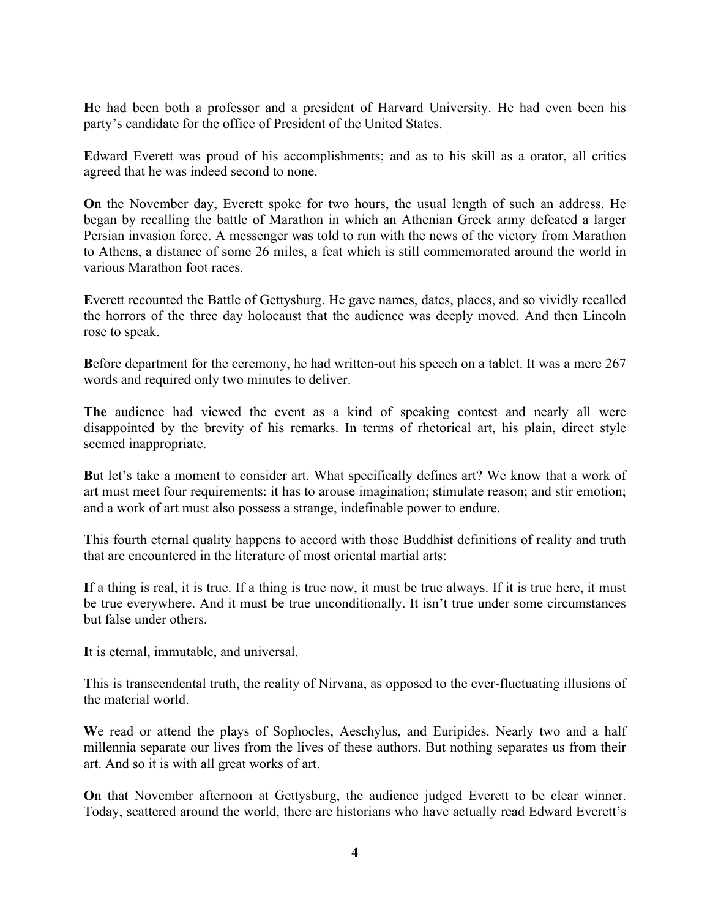**H**e had been both a professor and a president of Harvard University. He had even been his party's candidate for the office of President of the United States.

**E**dward Everett was proud of his accomplishments; and as to his skill as a orator, all critics agreed that he was indeed second to none.

**O**n the November day, Everett spoke for two hours, the usual length of such an address. He began by recalling the battle of Marathon in which an Athenian Greek army defeated a larger Persian invasion force. A messenger was told to run with the news of the victory from Marathon to Athens, a distance of some 26 miles, a feat which is still commemorated around the world in various Marathon foot races.

**E**verett recounted the Battle of Gettysburg. He gave names, dates, places, and so vividly recalled the horrors of the three day holocaust that the audience was deeply moved. And then Lincoln rose to speak.

Before department for the ceremony, he had written-out his speech on a tablet. It was a mere 267 words and required only two minutes to deliver.

**The** audience had viewed the event as a kind of speaking contest and nearly all were disappointed by the brevity of his remarks. In terms of rhetorical art, his plain, direct style seemed inappropriate.

**B**ut let's take a moment to consider art. What specifically defines art? We know that a work of art must meet four requirements: it has to arouse imagination; stimulate reason; and stir emotion; and a work of art must also possess a strange, indefinable power to endure.

**T**his fourth eternal quality happens to accord with those Buddhist definitions of reality and truth that are encountered in the literature of most oriental martial arts:

**I**f a thing is real, it is true. If a thing is true now, it must be true always. If it is true here, it must be true everywhere. And it must be true unconditionally. It isn't true under some circumstances but false under others.

**I**t is eternal, immutable, and universal.

**T**his is transcendental truth, the reality of Nirvana, as opposed to the ever-fluctuating illusions of the material world.

**W**e read or attend the plays of Sophocles, Aeschylus, and Euripides. Nearly two and a half millennia separate our lives from the lives of these authors. But nothing separates us from their art. And so it is with all great works of art.

**O**n that November afternoon at Gettysburg, the audience judged Everett to be clear winner. Today, scattered around the world, there are historians who have actually read Edward Everett's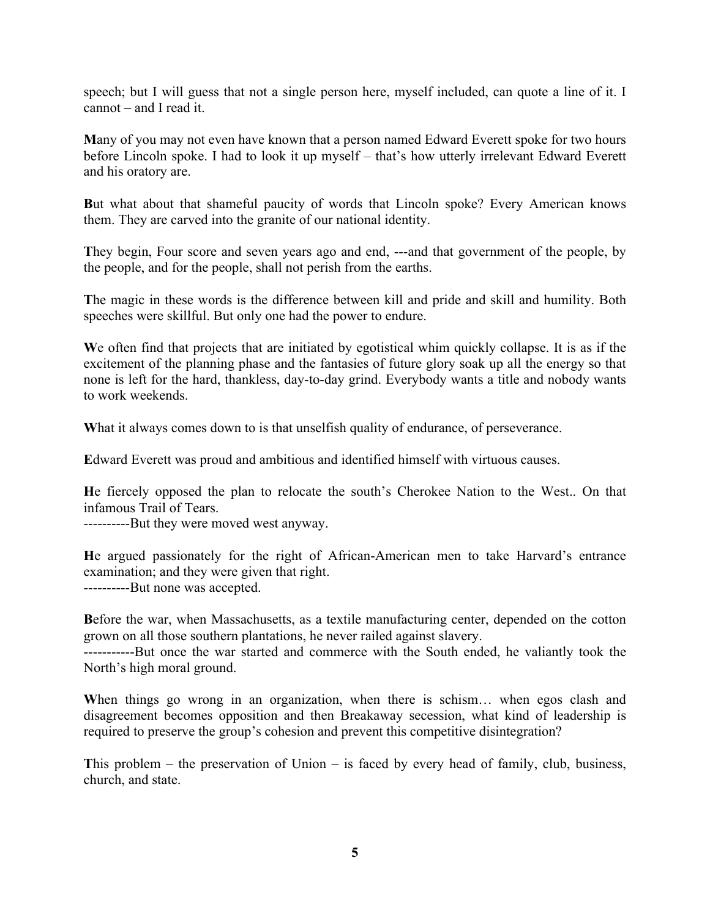speech; but I will guess that not a single person here, myself included, can quote a line of it. I cannot – and I read it.

**M**any of you may not even have known that a person named Edward Everett spoke for two hours before Lincoln spoke. I had to look it up myself – that's how utterly irrelevant Edward Everett and his oratory are.

**B**ut what about that shameful paucity of words that Lincoln spoke? Every American knows them. They are carved into the granite of our national identity.

They begin, Four score and seven years ago and end, ---and that government of the people, by the people, and for the people, shall not perish from the earths.

**T**he magic in these words is the difference between kill and pride and skill and humility. Both speeches were skillful. But only one had the power to endure.

**W**e often find that projects that are initiated by egotistical whim quickly collapse. It is as if the excitement of the planning phase and the fantasies of future glory soak up all the energy so that none is left for the hard, thankless, day-to-day grind. Everybody wants a title and nobody wants to work weekends.

What it always comes down to is that unselfish quality of endurance, of perseverance.

**E**dward Everett was proud and ambitious and identified himself with virtuous causes.

**H**e fiercely opposed the plan to relocate the south's Cherokee Nation to the West.. On that infamous Trail of Tears.

----------But they were moved west anyway.

**H**e argued passionately for the right of African-American men to take Harvard's entrance examination; and they were given that right. ----------But none was accepted.

**B**efore the war, when Massachusetts, as a textile manufacturing center, depended on the cotton grown on all those southern plantations, he never railed against slavery.

-----------But once the war started and commerce with the South ended, he valiantly took the North's high moral ground.

**W**hen things go wrong in an organization, when there is schism… when egos clash and disagreement becomes opposition and then Breakaway secession, what kind of leadership is required to preserve the group's cohesion and prevent this competitive disintegration?

**T**his problem – the preservation of Union – is faced by every head of family, club, business, church, and state.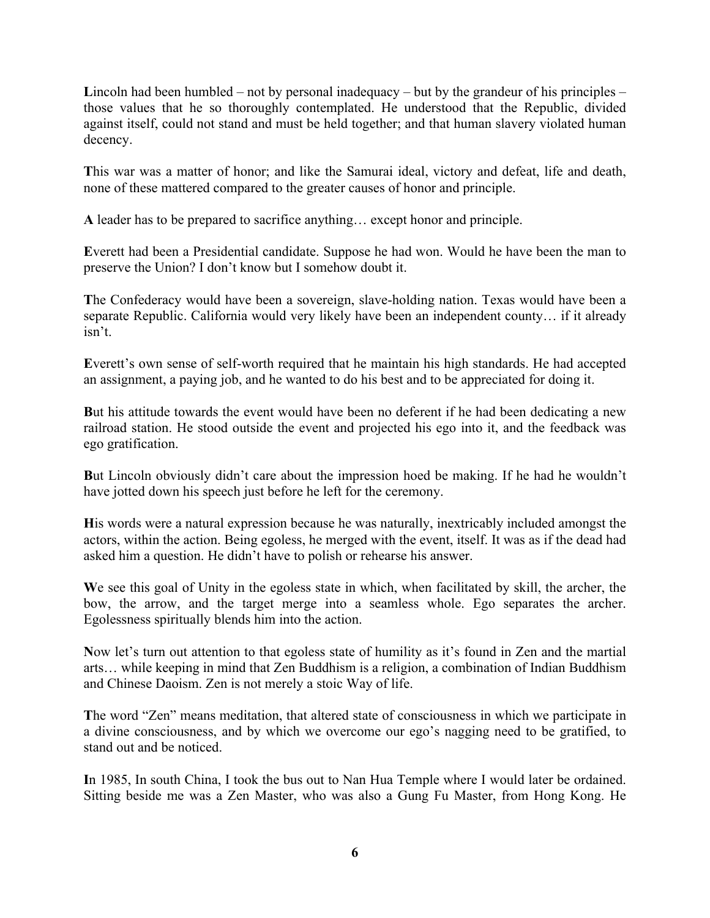**L**incoln had been humbled – not by personal inadequacy – but by the grandeur of his principles – those values that he so thoroughly contemplated. He understood that the Republic, divided against itself, could not stand and must be held together; and that human slavery violated human decency.

**T**his war was a matter of honor; and like the Samurai ideal, victory and defeat, life and death, none of these mattered compared to the greater causes of honor and principle.

**A** leader has to be prepared to sacrifice anything… except honor and principle.

**E**verett had been a Presidential candidate. Suppose he had won. Would he have been the man to preserve the Union? I don't know but I somehow doubt it.

**T**he Confederacy would have been a sovereign, slave-holding nation. Texas would have been a separate Republic. California would very likely have been an independent county… if it already isn't.

**E**verett's own sense of self-worth required that he maintain his high standards. He had accepted an assignment, a paying job, and he wanted to do his best and to be appreciated for doing it.

**B**ut his attitude towards the event would have been no deferent if he had been dedicating a new railroad station. He stood outside the event and projected his ego into it, and the feedback was ego gratification.

**B**ut Lincoln obviously didn't care about the impression hoed be making. If he had he wouldn't have jotted down his speech just before he left for the ceremony.

**H**is words were a natural expression because he was naturally, inextricably included amongst the actors, within the action. Being egoless, he merged with the event, itself. It was as if the dead had asked him a question. He didn't have to polish or rehearse his answer.

**W**e see this goal of Unity in the egoless state in which, when facilitated by skill, the archer, the bow, the arrow, and the target merge into a seamless whole. Ego separates the archer. Egolessness spiritually blends him into the action.

**N**ow let's turn out attention to that egoless state of humility as it's found in Zen and the martial arts… while keeping in mind that Zen Buddhism is a religion, a combination of Indian Buddhism and Chinese Daoism. Zen is not merely a stoic Way of life.

**T**he word "Zen" means meditation, that altered state of consciousness in which we participate in a divine consciousness, and by which we overcome our ego's nagging need to be gratified, to stand out and be noticed.

**I**n 1985, In south China, I took the bus out to Nan Hua Temple where I would later be ordained. Sitting beside me was a Zen Master, who was also a Gung Fu Master, from Hong Kong. He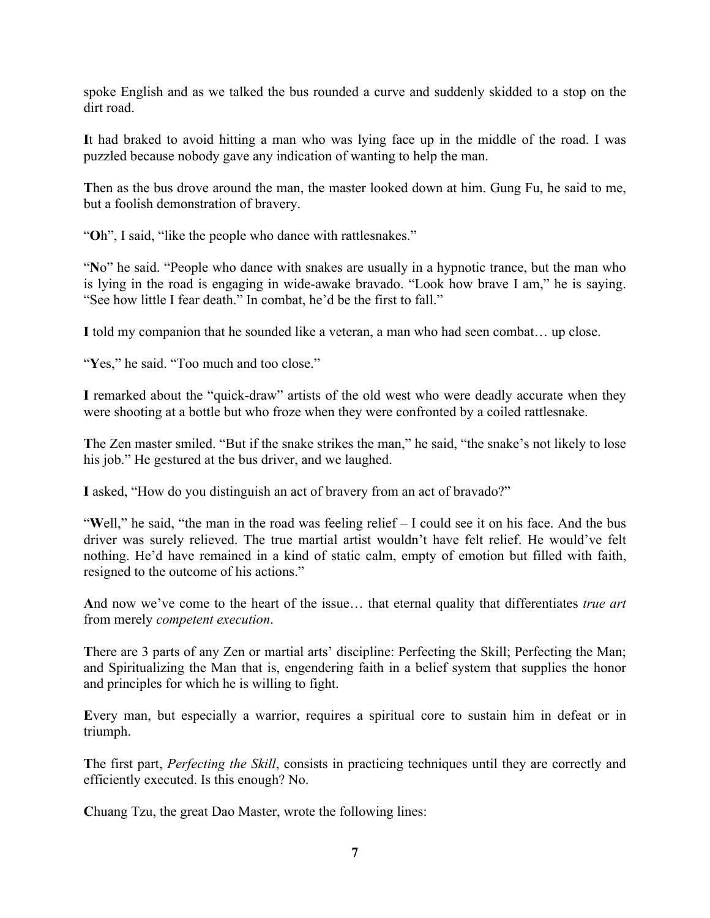spoke English and as we talked the bus rounded a curve and suddenly skidded to a stop on the dirt road.

**I**t had braked to avoid hitting a man who was lying face up in the middle of the road. I was puzzled because nobody gave any indication of wanting to help the man.

**T**hen as the bus drove around the man, the master looked down at him. Gung Fu, he said to me, but a foolish demonstration of bravery.

"**O**h", I said, "like the people who dance with rattlesnakes."

"**N**o" he said. "People who dance with snakes are usually in a hypnotic trance, but the man who is lying in the road is engaging in wide-awake bravado. "Look how brave I am," he is saying. "See how little I fear death." In combat, he'd be the first to fall."

**I** told my companion that he sounded like a veteran, a man who had seen combat… up close.

"Yes," he said. "Too much and too close."

**I** remarked about the "quick-draw" artists of the old west who were deadly accurate when they were shooting at a bottle but who froze when they were confronted by a coiled rattlesnake.

**T**he Zen master smiled. "But if the snake strikes the man," he said, "the snake's not likely to lose his job." He gestured at the bus driver, and we laughed.

**I** asked, "How do you distinguish an act of bravery from an act of bravado?"

"**W**ell," he said, "the man in the road was feeling relief – I could see it on his face. And the bus driver was surely relieved. The true martial artist wouldn't have felt relief. He would've felt nothing. He'd have remained in a kind of static calm, empty of emotion but filled with faith, resigned to the outcome of his actions."

**A**nd now we've come to the heart of the issue… that eternal quality that differentiates *true art* from merely *competent execution*.

There are 3 parts of any Zen or martial arts' discipline: Perfecting the Skill; Perfecting the Man; and Spiritualizing the Man that is, engendering faith in a belief system that supplies the honor and principles for which he is willing to fight.

**E**very man, but especially a warrior, requires a spiritual core to sustain him in defeat or in triumph.

**T**he first part, *Perfecting the Skill*, consists in practicing techniques until they are correctly and efficiently executed. Is this enough? No.

**C**huang Tzu, the great Dao Master, wrote the following lines: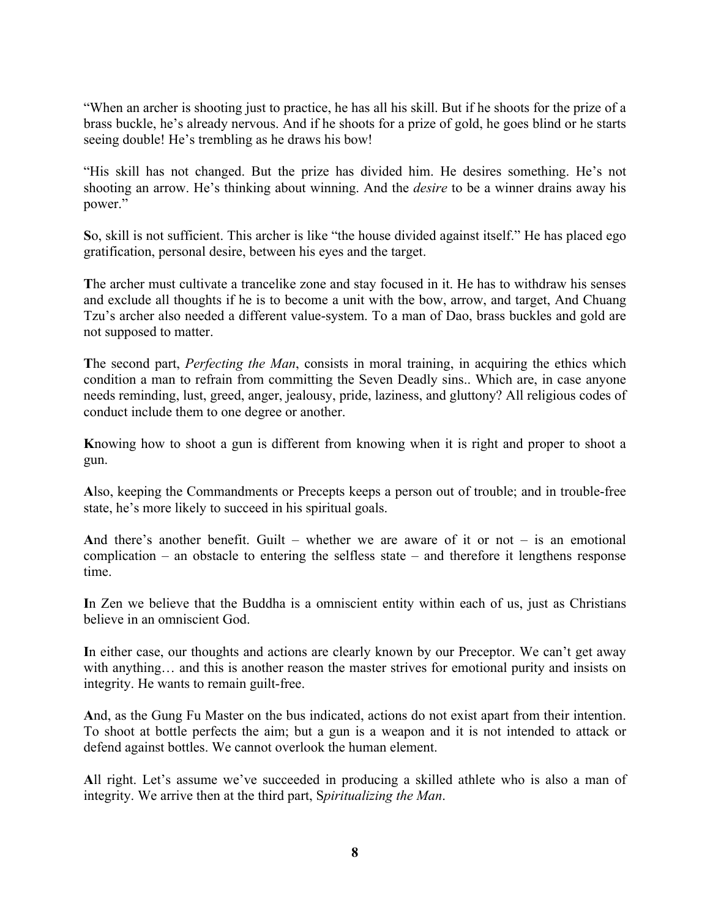"When an archer is shooting just to practice, he has all his skill. But if he shoots for the prize of a brass buckle, he's already nervous. And if he shoots for a prize of gold, he goes blind or he starts seeing double! He's trembling as he draws his bow!

"His skill has not changed. But the prize has divided him. He desires something. He's not shooting an arrow. He's thinking about winning. And the *desire* to be a winner drains away his power."

**S**o, skill is not sufficient. This archer is like "the house divided against itself." He has placed ego gratification, personal desire, between his eyes and the target.

**T**he archer must cultivate a trancelike zone and stay focused in it. He has to withdraw his senses and exclude all thoughts if he is to become a unit with the bow, arrow, and target, And Chuang Tzu's archer also needed a different value-system. To a man of Dao, brass buckles and gold are not supposed to matter.

**T**he second part, *Perfecting the Man*, consists in moral training, in acquiring the ethics which condition a man to refrain from committing the Seven Deadly sins.. Which are, in case anyone needs reminding, lust, greed, anger, jealousy, pride, laziness, and gluttony? All religious codes of conduct include them to one degree or another.

**K**nowing how to shoot a gun is different from knowing when it is right and proper to shoot a gun.

**A**lso, keeping the Commandments or Precepts keeps a person out of trouble; and in trouble-free state, he's more likely to succeed in his spiritual goals.

**A**nd there's another benefit. Guilt – whether we are aware of it or not – is an emotional complication – an obstacle to entering the selfless state – and therefore it lengthens response time.

**I**n Zen we believe that the Buddha is a omniscient entity within each of us, just as Christians believe in an omniscient God.

**I**n either case, our thoughts and actions are clearly known by our Preceptor. We can't get away with anything… and this is another reason the master strives for emotional purity and insists on integrity. He wants to remain guilt-free.

**A**nd, as the Gung Fu Master on the bus indicated, actions do not exist apart from their intention. To shoot at bottle perfects the aim; but a gun is a weapon and it is not intended to attack or defend against bottles. We cannot overlook the human element.

**A**ll right. Let's assume we've succeeded in producing a skilled athlete who is also a man of integrity. We arrive then at the third part, S*piritualizing the Man*.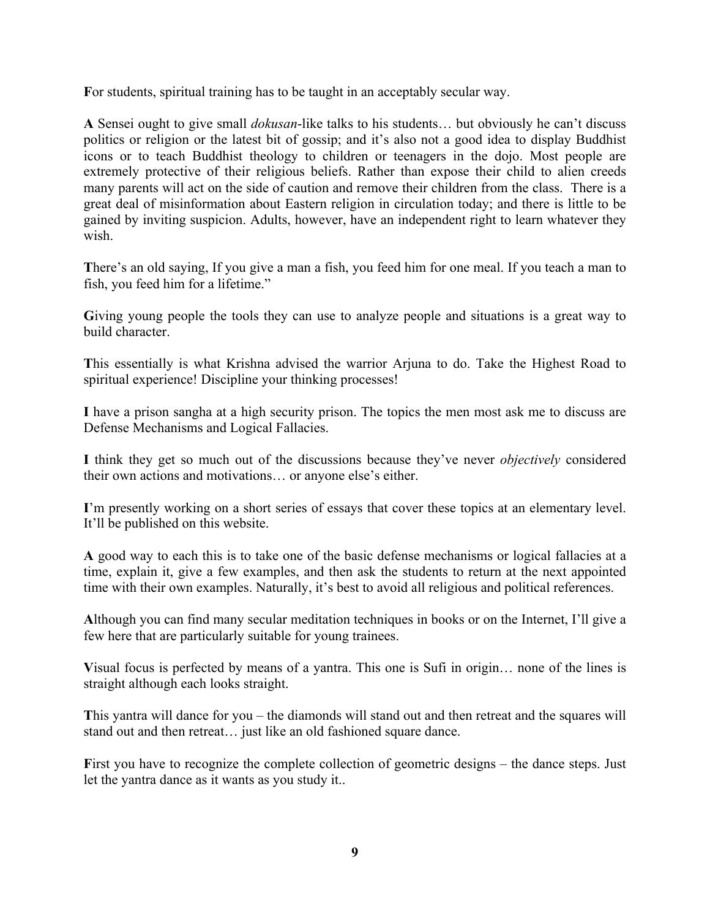**F**or students, spiritual training has to be taught in an acceptably secular way.

**A** Sensei ought to give small *dokusan*-like talks to his students… but obviously he can't discuss politics or religion or the latest bit of gossip; and it's also not a good idea to display Buddhist icons or to teach Buddhist theology to children or teenagers in the dojo. Most people are extremely protective of their religious beliefs. Rather than expose their child to alien creeds many parents will act on the side of caution and remove their children from the class. There is a great deal of misinformation about Eastern religion in circulation today; and there is little to be gained by inviting suspicion. Adults, however, have an independent right to learn whatever they wish.

There's an old saying, If you give a man a fish, you feed him for one meal. If you teach a man to fish, you feed him for a lifetime."

**G**iving young people the tools they can use to analyze people and situations is a great way to build character.

**T**his essentially is what Krishna advised the warrior Arjuna to do. Take the Highest Road to spiritual experience! Discipline your thinking processes!

**I** have a prison sangha at a high security prison. The topics the men most ask me to discuss are Defense Mechanisms and Logical Fallacies.

**I** think they get so much out of the discussions because they've never *objectively* considered their own actions and motivations… or anyone else's either.

**I**'m presently working on a short series of essays that cover these topics at an elementary level. It'll be published on this website.

**A** good way to each this is to take one of the basic defense mechanisms or logical fallacies at a time, explain it, give a few examples, and then ask the students to return at the next appointed time with their own examples. Naturally, it's best to avoid all religious and political references.

**A**lthough you can find many secular meditation techniques in books or on the Internet, I'll give a few here that are particularly suitable for young trainees.

**V**isual focus is perfected by means of a yantra. This one is Sufi in origin… none of the lines is straight although each looks straight.

**T**his yantra will dance for you – the diamonds will stand out and then retreat and the squares will stand out and then retreat… just like an old fashioned square dance.

First you have to recognize the complete collection of geometric designs – the dance steps. Just let the yantra dance as it wants as you study it..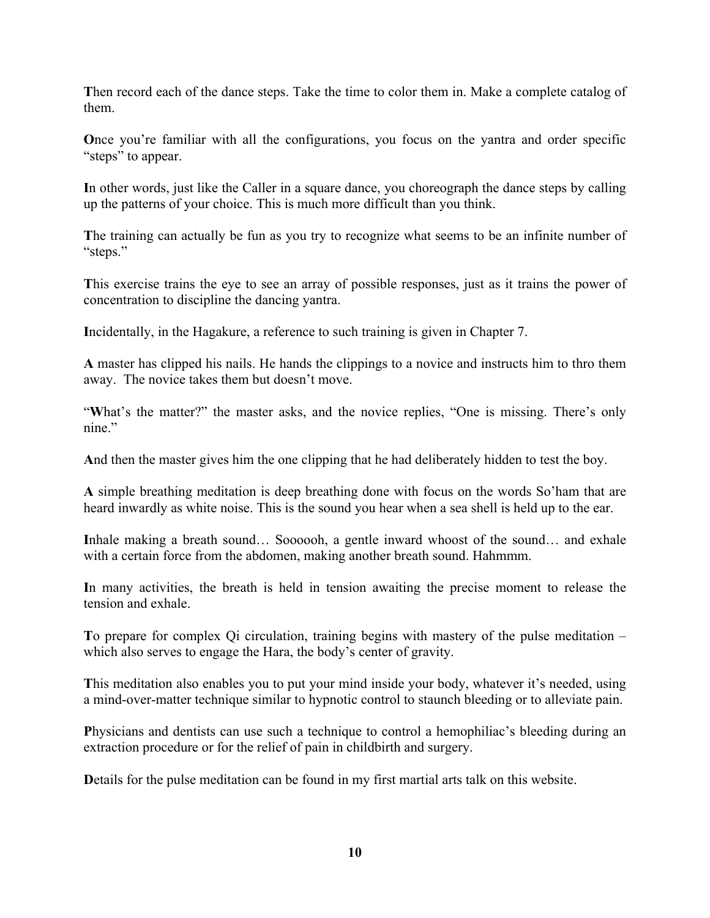**T**hen record each of the dance steps. Take the time to color them in. Make a complete catalog of them.

**O**nce you're familiar with all the configurations, you focus on the yantra and order specific "steps" to appear.

**I**n other words, just like the Caller in a square dance, you choreograph the dance steps by calling up the patterns of your choice. This is much more difficult than you think.

The training can actually be fun as you try to recognize what seems to be an infinite number of "steps."

**T**his exercise trains the eye to see an array of possible responses, just as it trains the power of concentration to discipline the dancing yantra.

**I**ncidentally, in the Hagakure, a reference to such training is given in Chapter 7.

**A** master has clipped his nails. He hands the clippings to a novice and instructs him to thro them away. The novice takes them but doesn't move.

"What's the matter?" the master asks, and the novice replies, "One is missing. There's only nine."

**A**nd then the master gives him the one clipping that he had deliberately hidden to test the boy.

**A** simple breathing meditation is deep breathing done with focus on the words So'ham that are heard inwardly as white noise. This is the sound you hear when a sea shell is held up to the ear.

Inhale making a breath sound... Soooooh, a gentle inward whoost of the sound... and exhale with a certain force from the abdomen, making another breath sound. Hahmmm.

**I**n many activities, the breath is held in tension awaiting the precise moment to release the tension and exhale.

**T**o prepare for complex Qi circulation, training begins with mastery of the pulse meditation – which also serves to engage the Hara, the body's center of gravity.

**T**his meditation also enables you to put your mind inside your body, whatever it's needed, using a mind-over-matter technique similar to hypnotic control to staunch bleeding or to alleviate pain.

**P**hysicians and dentists can use such a technique to control a hemophiliac's bleeding during an extraction procedure or for the relief of pain in childbirth and surgery.

**D**etails for the pulse meditation can be found in my first martial arts talk on this website.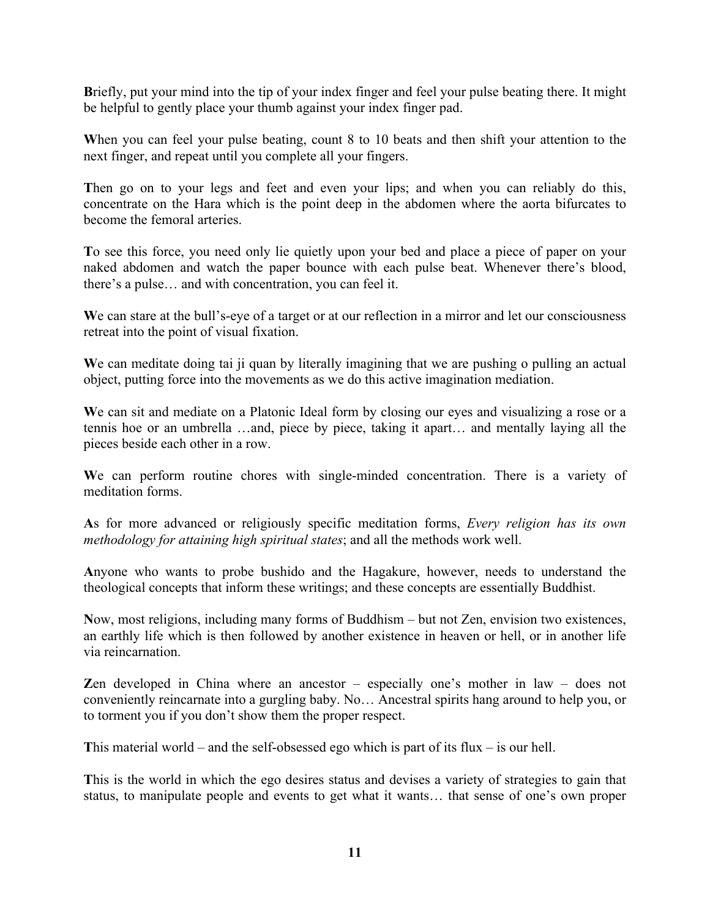**B**riefly, put your mind into the tip of your index finger and feel your pulse beating there. It might be helpful to gently place your thumb against your index finger pad.

When you can feel your pulse beating, count 8 to 10 beats and then shift your attention to the next finger, and repeat until you complete all your fingers.

**T**hen go on to your legs and feet and even your lips; and when you can reliably do this, concentrate on the Hara which is the point deep in the abdomen where the aorta bifurcates to become the femoral arteries.

**T**o see this force, you need only lie quietly upon your bed and place a piece of paper on your naked abdomen and watch the paper bounce with each pulse beat. Whenever there's blood, there's a pulse… and with concentration, you can feel it.

We can stare at the bull's-eye of a target or at our reflection in a mirror and let our consciousness retreat into the point of visual fixation.

We can meditate doing tai ji quan by literally imagining that we are pushing o pulling an actual object, putting force into the movements as we do this active imagination mediation.

We can sit and mediate on a Platonic Ideal form by closing our eyes and visualizing a rose or a tennis hoe or an umbrella …and, piece by piece, taking it apart… and mentally laying all the pieces beside each other in a row.

We can perform routine chores with single-minded concentration. There is a variety of meditation forms.

**A**s for more advanced or religiously specific meditation forms, *Every religion has its own methodology for attaining high spiritual states*; and all the methods work well.

**A**nyone who wants to probe bushido and the Hagakure, however, needs to understand the theological concepts that inform these writings; and these concepts are essentially Buddhist.

**N**ow, most religions, including many forms of Buddhism – but not Zen, envision two existences, an earthly life which is then followed by another existence in heaven or hell, or in another life via reincarnation.

**Z**en developed in China where an ancestor – especially one's mother in law – does not conveniently reincarnate into a gurgling baby. No… Ancestral spirits hang around to help you, or to torment you if you don't show them the proper respect.

**T**his material world – and the self-obsessed ego which is part of its flux – is our hell.

**T**his is the world in which the ego desires status and devises a variety of strategies to gain that status, to manipulate people and events to get what it wants… that sense of one's own proper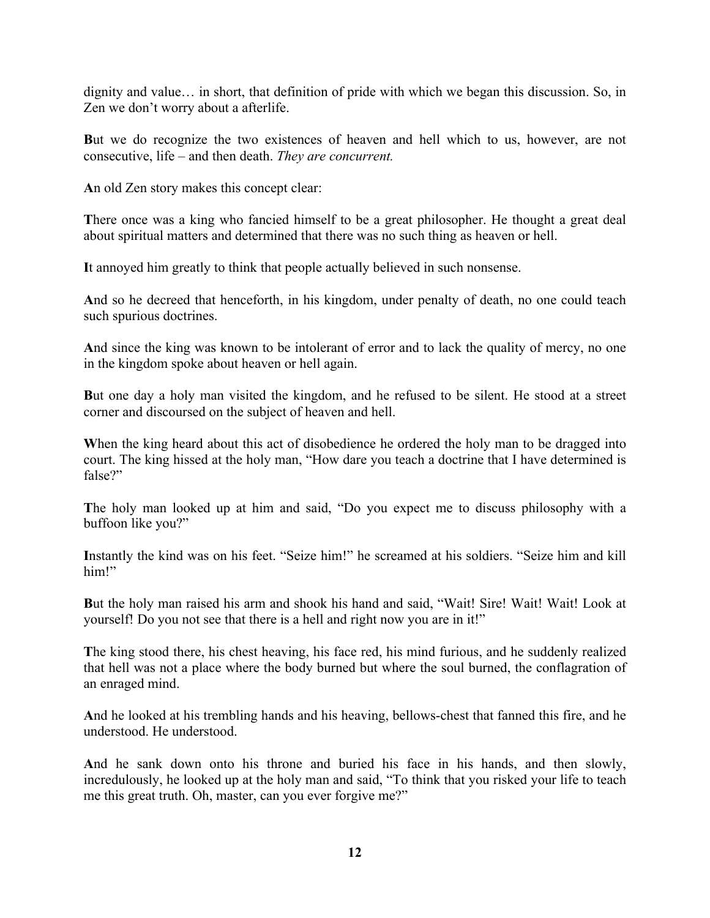dignity and value… in short, that definition of pride with which we began this discussion. So, in Zen we don't worry about a afterlife.

**B**ut we do recognize the two existences of heaven and hell which to us, however, are not consecutive, life – and then death. *They are concurrent.*

**A**n old Zen story makes this concept clear:

**T**here once was a king who fancied himself to be a great philosopher. He thought a great deal about spiritual matters and determined that there was no such thing as heaven or hell.

**I**t annoyed him greatly to think that people actually believed in such nonsense.

**A**nd so he decreed that henceforth, in his kingdom, under penalty of death, no one could teach such spurious doctrines.

**A**nd since the king was known to be intolerant of error and to lack the quality of mercy, no one in the kingdom spoke about heaven or hell again.

**B**ut one day a holy man visited the kingdom, and he refused to be silent. He stood at a street corner and discoursed on the subject of heaven and hell.

When the king heard about this act of disobedience he ordered the holy man to be dragged into court. The king hissed at the holy man, "How dare you teach a doctrine that I have determined is false?"

**T**he holy man looked up at him and said, "Do you expect me to discuss philosophy with a buffoon like you?"

**I**nstantly the kind was on his feet. "Seize him!" he screamed at his soldiers. "Seize him and kill him!"

**B**ut the holy man raised his arm and shook his hand and said, "Wait! Sire! Wait! Wait! Look at yourself! Do you not see that there is a hell and right now you are in it!"

**T**he king stood there, his chest heaving, his face red, his mind furious, and he suddenly realized that hell was not a place where the body burned but where the soul burned, the conflagration of an enraged mind.

**A**nd he looked at his trembling hands and his heaving, bellows-chest that fanned this fire, and he understood. He understood.

**A**nd he sank down onto his throne and buried his face in his hands, and then slowly, incredulously, he looked up at the holy man and said, "To think that you risked your life to teach me this great truth. Oh, master, can you ever forgive me?"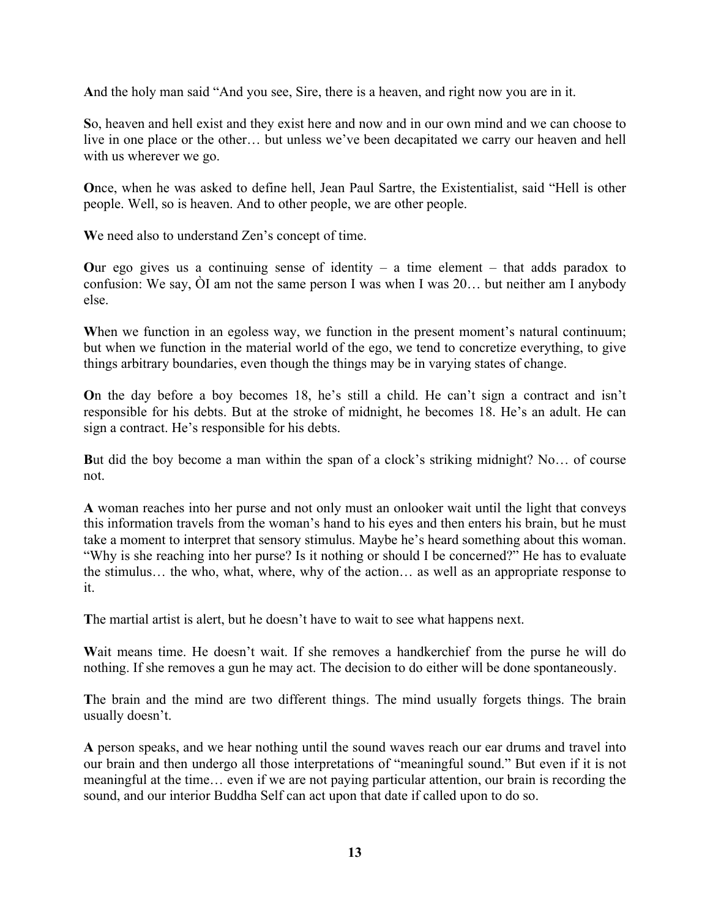**A**nd the holy man said "And you see, Sire, there is a heaven, and right now you are in it.

**S**o, heaven and hell exist and they exist here and now and in our own mind and we can choose to live in one place or the other… but unless we've been decapitated we carry our heaven and hell with us wherever we go.

**O**nce, when he was asked to define hell, Jean Paul Sartre, the Existentialist, said "Hell is other people. Well, so is heaven. And to other people, we are other people.

**W**e need also to understand Zen's concept of time.

Our ego gives us a continuing sense of identity  $-$  a time element  $-$  that adds paradox to confusion: We say, ÒI am not the same person I was when I was 20… but neither am I anybody else.

When we function in an egoless way, we function in the present moment's natural continuum; but when we function in the material world of the ego, we tend to concretize everything, to give things arbitrary boundaries, even though the things may be in varying states of change.

**O**n the day before a boy becomes 18, he's still a child. He can't sign a contract and isn't responsible for his debts. But at the stroke of midnight, he becomes 18. He's an adult. He can sign a contract. He's responsible for his debts.

**B**ut did the boy become a man within the span of a clock's striking midnight? No… of course not.

**A** woman reaches into her purse and not only must an onlooker wait until the light that conveys this information travels from the woman's hand to his eyes and then enters his brain, but he must take a moment to interpret that sensory stimulus. Maybe he's heard something about this woman. "Why is she reaching into her purse? Is it nothing or should I be concerned?" He has to evaluate the stimulus… the who, what, where, why of the action… as well as an appropriate response to it.

**T**he martial artist is alert, but he doesn't have to wait to see what happens next.

**W**ait means time. He doesn't wait. If she removes a handkerchief from the purse he will do nothing. If she removes a gun he may act. The decision to do either will be done spontaneously.

**T**he brain and the mind are two different things. The mind usually forgets things. The brain usually doesn't.

**A** person speaks, and we hear nothing until the sound waves reach our ear drums and travel into our brain and then undergo all those interpretations of "meaningful sound." But even if it is not meaningful at the time… even if we are not paying particular attention, our brain is recording the sound, and our interior Buddha Self can act upon that date if called upon to do so.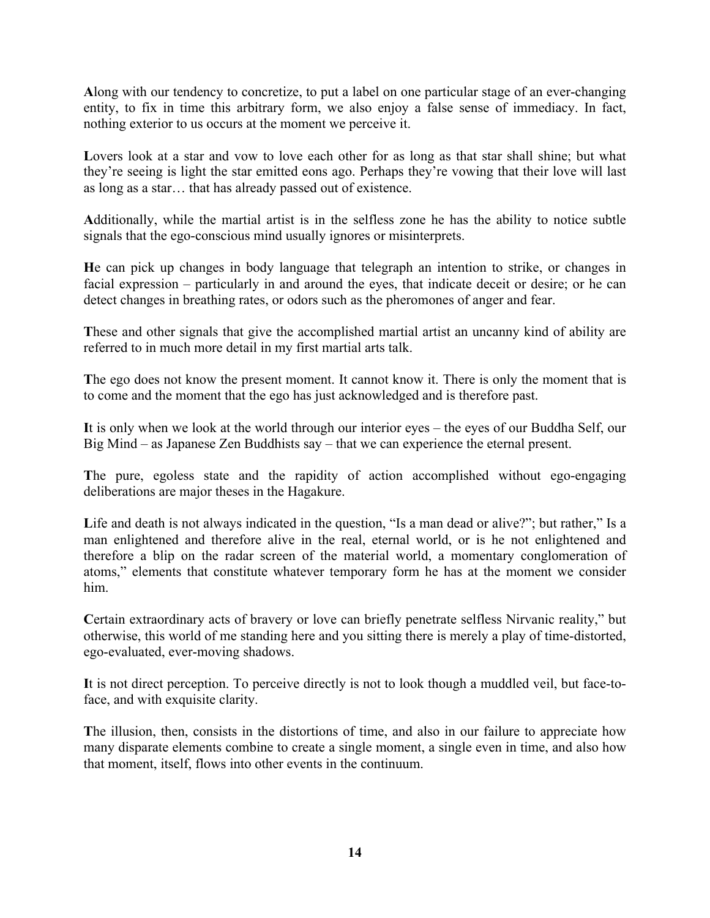**A**long with our tendency to concretize, to put a label on one particular stage of an ever-changing entity, to fix in time this arbitrary form, we also enjoy a false sense of immediacy. In fact, nothing exterior to us occurs at the moment we perceive it.

Lovers look at a star and vow to love each other for as long as that star shall shine; but what they're seeing is light the star emitted eons ago. Perhaps they're vowing that their love will last as long as a star… that has already passed out of existence.

**A**dditionally, while the martial artist is in the selfless zone he has the ability to notice subtle signals that the ego-conscious mind usually ignores or misinterprets.

**H**e can pick up changes in body language that telegraph an intention to strike, or changes in facial expression – particularly in and around the eyes, that indicate deceit or desire; or he can detect changes in breathing rates, or odors such as the pheromones of anger and fear.

**T**hese and other signals that give the accomplished martial artist an uncanny kind of ability are referred to in much more detail in my first martial arts talk.

**T**he ego does not know the present moment. It cannot know it. There is only the moment that is to come and the moment that the ego has just acknowledged and is therefore past.

**I**t is only when we look at the world through our interior eyes – the eyes of our Buddha Self, our Big Mind – as Japanese Zen Buddhists say – that we can experience the eternal present.

**T**he pure, egoless state and the rapidity of action accomplished without ego-engaging deliberations are major theses in the Hagakure.

Life and death is not always indicated in the question, "Is a man dead or alive?"; but rather," Is a man enlightened and therefore alive in the real, eternal world, or is he not enlightened and therefore a blip on the radar screen of the material world, a momentary conglomeration of atoms," elements that constitute whatever temporary form he has at the moment we consider him.

Certain extraordinary acts of bravery or love can briefly penetrate selfless Nirvanic reality," but otherwise, this world of me standing here and you sitting there is merely a play of time-distorted, ego-evaluated, ever-moving shadows.

**I**t is not direct perception. To perceive directly is not to look though a muddled veil, but face-toface, and with exquisite clarity.

**T**he illusion, then, consists in the distortions of time, and also in our failure to appreciate how many disparate elements combine to create a single moment, a single even in time, and also how that moment, itself, flows into other events in the continuum.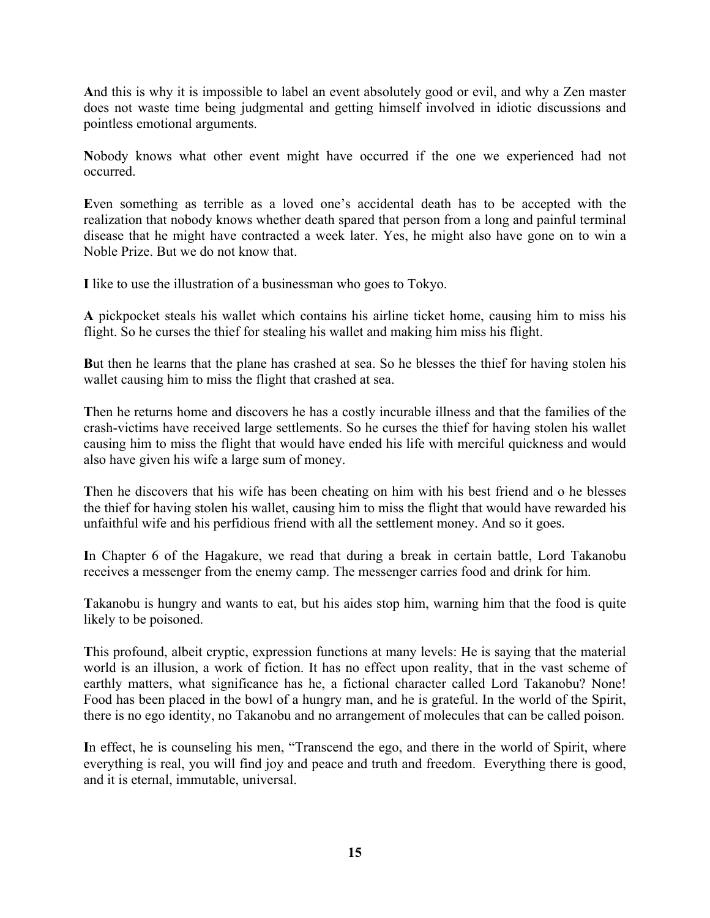**A**nd this is why it is impossible to label an event absolutely good or evil, and why a Zen master does not waste time being judgmental and getting himself involved in idiotic discussions and pointless emotional arguments.

**N**obody knows what other event might have occurred if the one we experienced had not occurred.

**E**ven something as terrible as a loved one's accidental death has to be accepted with the realization that nobody knows whether death spared that person from a long and painful terminal disease that he might have contracted a week later. Yes, he might also have gone on to win a Noble Prize. But we do not know that.

**I** like to use the illustration of a businessman who goes to Tokyo.

**A** pickpocket steals his wallet which contains his airline ticket home, causing him to miss his flight. So he curses the thief for stealing his wallet and making him miss his flight.

**B**ut then he learns that the plane has crashed at sea. So he blesses the thief for having stolen his wallet causing him to miss the flight that crashed at sea.

**T**hen he returns home and discovers he has a costly incurable illness and that the families of the crash-victims have received large settlements. So he curses the thief for having stolen his wallet causing him to miss the flight that would have ended his life with merciful quickness and would also have given his wife a large sum of money.

**T**hen he discovers that his wife has been cheating on him with his best friend and o he blesses the thief for having stolen his wallet, causing him to miss the flight that would have rewarded his unfaithful wife and his perfidious friend with all the settlement money. And so it goes.

**I**n Chapter 6 of the Hagakure, we read that during a break in certain battle, Lord Takanobu receives a messenger from the enemy camp. The messenger carries food and drink for him.

**T**akanobu is hungry and wants to eat, but his aides stop him, warning him that the food is quite likely to be poisoned.

**T**his profound, albeit cryptic, expression functions at many levels: He is saying that the material world is an illusion, a work of fiction. It has no effect upon reality, that in the vast scheme of earthly matters, what significance has he, a fictional character called Lord Takanobu? None! Food has been placed in the bowl of a hungry man, and he is grateful. In the world of the Spirit, there is no ego identity, no Takanobu and no arrangement of molecules that can be called poison.

**I**n effect, he is counseling his men, "Transcend the ego, and there in the world of Spirit, where everything is real, you will find joy and peace and truth and freedom. Everything there is good, and it is eternal, immutable, universal.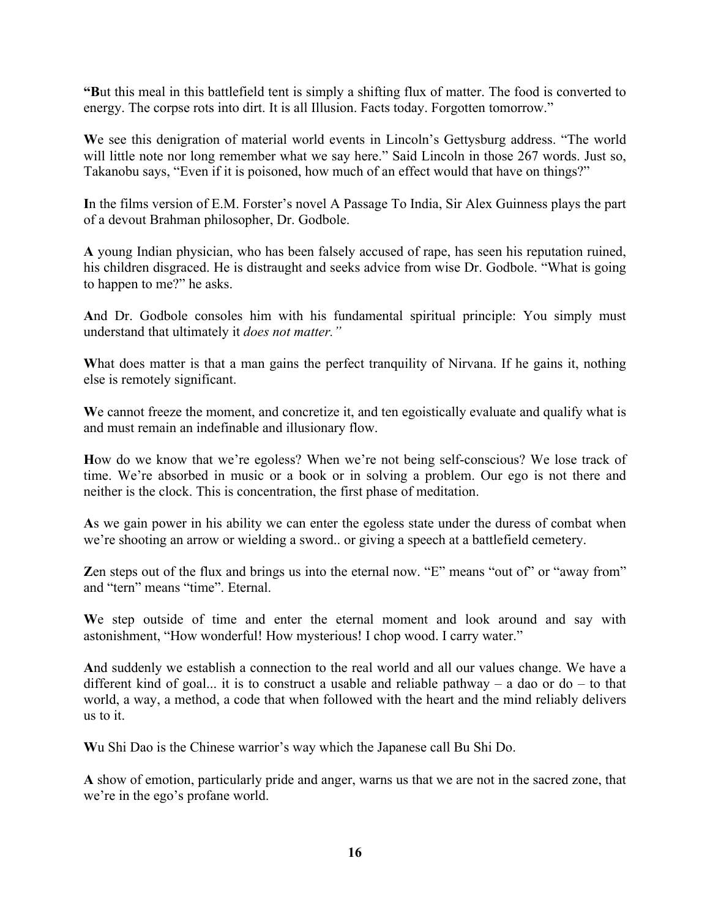**"B**ut this meal in this battlefield tent is simply a shifting flux of matter. The food is converted to energy. The corpse rots into dirt. It is all Illusion. Facts today. Forgotten tomorrow."

**W**e see this denigration of material world events in Lincoln's Gettysburg address. "The world will little note nor long remember what we say here." Said Lincoln in those 267 words. Just so, Takanobu says, "Even if it is poisoned, how much of an effect would that have on things?"

**I**n the films version of E.M. Forster's novel A Passage To India, Sir Alex Guinness plays the part of a devout Brahman philosopher, Dr. Godbole.

**A** young Indian physician, who has been falsely accused of rape, has seen his reputation ruined, his children disgraced. He is distraught and seeks advice from wise Dr. Godbole. "What is going to happen to me?" he asks.

**A**nd Dr. Godbole consoles him with his fundamental spiritual principle: You simply must understand that ultimately it *does not matter."*

What does matter is that a man gains the perfect tranquility of Nirvana. If he gains it, nothing else is remotely significant.

We cannot freeze the moment, and concretize it, and ten egoistically evaluate and qualify what is and must remain an indefinable and illusionary flow.

**H**ow do we know that we're egoless? When we're not being self-conscious? We lose track of time. We're absorbed in music or a book or in solving a problem. Our ego is not there and neither is the clock. This is concentration, the first phase of meditation.

**A**s we gain power in his ability we can enter the egoless state under the duress of combat when we're shooting an arrow or wielding a sword.. or giving a speech at a battlefield cemetery.

**Z**en steps out of the flux and brings us into the eternal now. "E" means "out of" or "away from" and "tern" means "time". Eternal.

**W**e step outside of time and enter the eternal moment and look around and say with astonishment, "How wonderful! How mysterious! I chop wood. I carry water."

**A**nd suddenly we establish a connection to the real world and all our values change. We have a different kind of goal... it is to construct a usable and reliable pathway – a dao or do – to that world, a way, a method, a code that when followed with the heart and the mind reliably delivers us to it.

**W**u Shi Dao is the Chinese warrior's way which the Japanese call Bu Shi Do.

**A** show of emotion, particularly pride and anger, warns us that we are not in the sacred zone, that we're in the ego's profane world.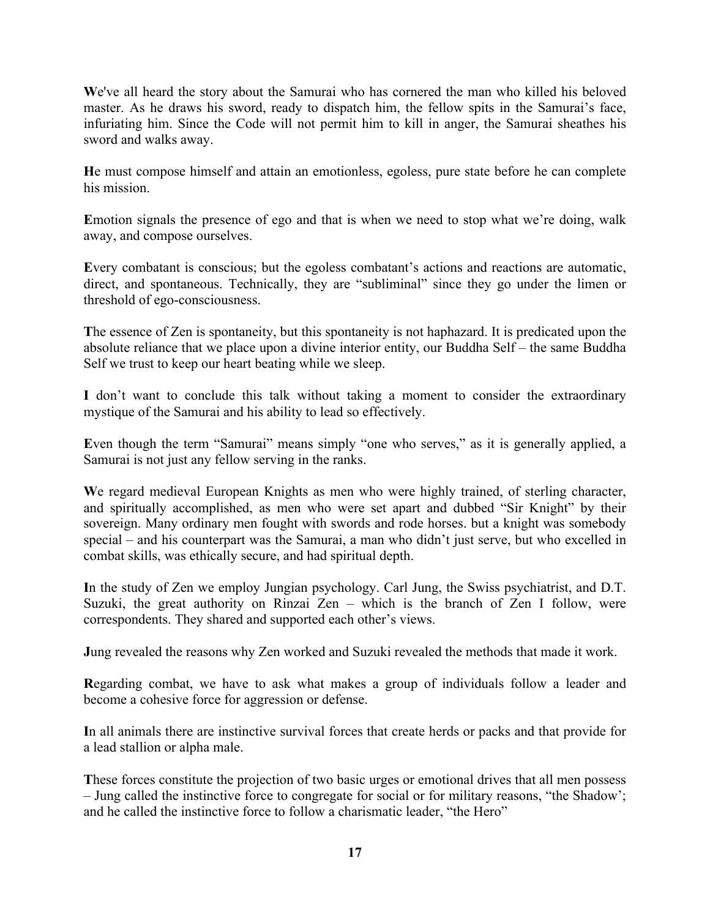**W**e've all heard the story about the Samurai who has cornered the man who killed his beloved master. As he draws his sword, ready to dispatch him, the fellow spits in the Samurai's face, infuriating him. Since the Code will not permit him to kill in anger, the Samurai sheathes his sword and walks away.

**H**e must compose himself and attain an emotionless, egoless, pure state before he can complete his mission.

**E**motion signals the presence of ego and that is when we need to stop what we're doing, walk away, and compose ourselves.

**E**very combatant is conscious; but the egoless combatant's actions and reactions are automatic, direct, and spontaneous. Technically, they are "subliminal" since they go under the limen or threshold of ego-consciousness.

**T**he essence of Zen is spontaneity, but this spontaneity is not haphazard. It is predicated upon the absolute reliance that we place upon a divine interior entity, our Buddha Self – the same Buddha Self we trust to keep our heart beating while we sleep.

**I** don't want to conclude this talk without taking a moment to consider the extraordinary mystique of the Samurai and his ability to lead so effectively.

Even though the term "Samurai" means simply "one who serves," as it is generally applied, a Samurai is not just any fellow serving in the ranks.

We regard medieval European Knights as men who were highly trained, of sterling character, and spiritually accomplished, as men who were set apart and dubbed "Sir Knight" by their sovereign. Many ordinary men fought with swords and rode horses. but a knight was somebody special – and his counterpart was the Samurai, a man who didn't just serve, but who excelled in combat skills, was ethically secure, and had spiritual depth.

**I**n the study of Zen we employ Jungian psychology. Carl Jung, the Swiss psychiatrist, and D.T. Suzuki, the great authority on Rinzai Zen – which is the branch of Zen I follow, were correspondents. They shared and supported each other's views.

**J**ung revealed the reasons why Zen worked and Suzuki revealed the methods that made it work.

**R**egarding combat, we have to ask what makes a group of individuals follow a leader and become a cohesive force for aggression or defense.

**I**n all animals there are instinctive survival forces that create herds or packs and that provide for a lead stallion or alpha male.

**T**hese forces constitute the projection of two basic urges or emotional drives that all men possess – Jung called the instinctive force to congregate for social or for military reasons, "the Shadow'; and he called the instinctive force to follow a charismatic leader, "the Hero"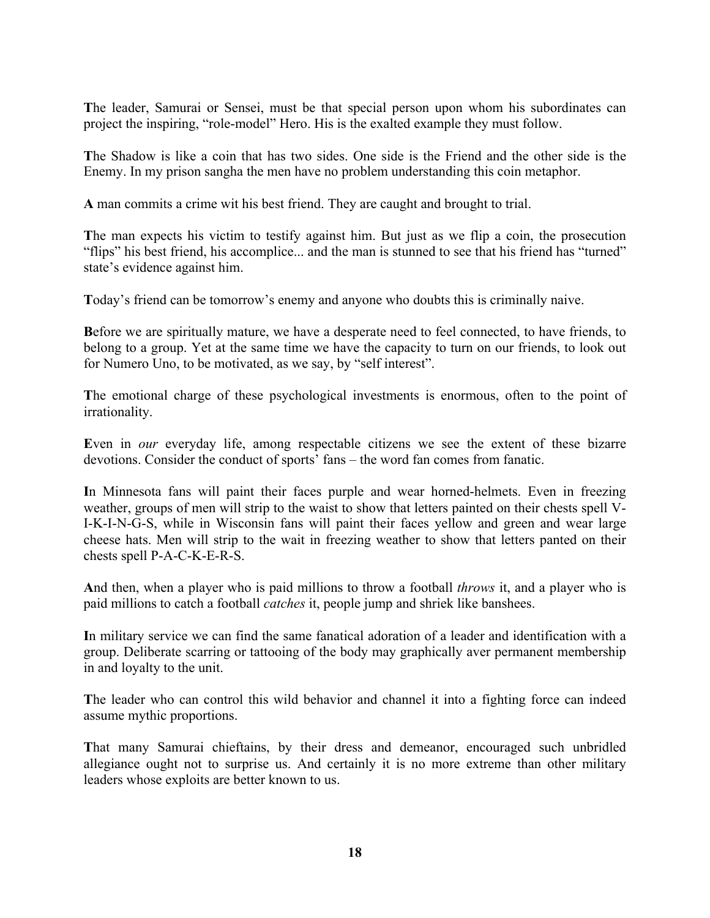**T**he leader, Samurai or Sensei, must be that special person upon whom his subordinates can project the inspiring, "role-model" Hero. His is the exalted example they must follow.

**T**he Shadow is like a coin that has two sides. One side is the Friend and the other side is the Enemy. In my prison sangha the men have no problem understanding this coin metaphor.

**A** man commits a crime wit his best friend. They are caught and brought to trial.

The man expects his victim to testify against him. But just as we flip a coin, the prosecution "flips" his best friend, his accomplice... and the man is stunned to see that his friend has "turned" state's evidence against him.

**T**oday's friend can be tomorrow's enemy and anyone who doubts this is criminally naive.

**B**efore we are spiritually mature, we have a desperate need to feel connected, to have friends, to belong to a group. Yet at the same time we have the capacity to turn on our friends, to look out for Numero Uno, to be motivated, as we say, by "self interest".

**T**he emotional charge of these psychological investments is enormous, often to the point of irrationality.

**E**ven in *our* everyday life, among respectable citizens we see the extent of these bizarre devotions. Consider the conduct of sports' fans – the word fan comes from fanatic.

**I**n Minnesota fans will paint their faces purple and wear horned-helmets. Even in freezing weather, groups of men will strip to the waist to show that letters painted on their chests spell V-I-K-I-N-G-S, while in Wisconsin fans will paint their faces yellow and green and wear large cheese hats. Men will strip to the wait in freezing weather to show that letters panted on their chests spell P-A-C-K-E-R-S.

**A**nd then, when a player who is paid millions to throw a football *throws* it, and a player who is paid millions to catch a football *catches* it, people jump and shriek like banshees.

**I**n military service we can find the same fanatical adoration of a leader and identification with a group. Deliberate scarring or tattooing of the body may graphically aver permanent membership in and loyalty to the unit.

**T**he leader who can control this wild behavior and channel it into a fighting force can indeed assume mythic proportions.

**T**hat many Samurai chieftains, by their dress and demeanor, encouraged such unbridled allegiance ought not to surprise us. And certainly it is no more extreme than other military leaders whose exploits are better known to us.